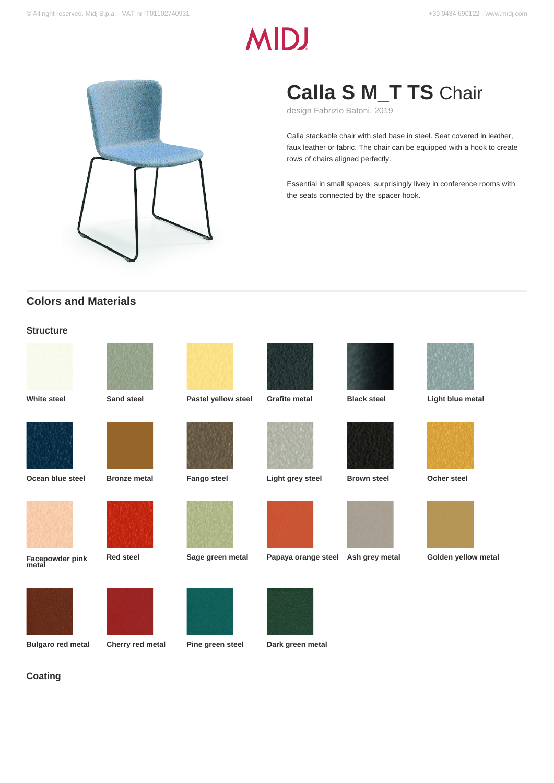# **MID!**



## **Calla S M\_T TS** Chair

design Fabrizio Batoni, 2019

Calla stackable chair with sled base in steel. Seat covered in leather, faux leather or fabric. The chair can be equipped with a hook to create rows of chairs aligned perfectly.

Essential in small spaces, surprisingly lively in conference rooms with the seats connected by the spacer hook.

## **Colors and Materials**

### **Structure**



**Coating**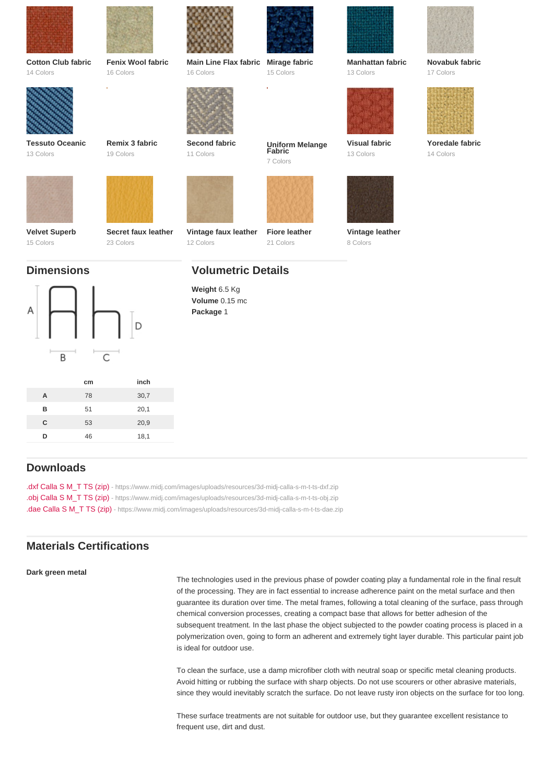| Cotton Club fabric     | Fenix Wool fabric   | Main Line Flax fabric                                                     | Mirage fabric             | Manhattan fabric | Novabuk fabric  |
|------------------------|---------------------|---------------------------------------------------------------------------|---------------------------|------------------|-----------------|
| 14 Colors              | 16 Colors           | 16 Colors                                                                 | 15 Colors                 | 13 Colors        | 17 Colors       |
| <b>Tessuto Oceanic</b> | Remix 3 fabric      | Second fabric                                                             | Uniform Melange<br>Fabric | Visual fabric    | Yoredale fabric |
| 13 Colors              | 19 Colors           | 11 Colors                                                                 | 7 Colors                  | 13 Colors        | 14 Colors       |
| Velvet Superb          | Secret faux leather | Vintage faux leather                                                      | Fiore leather             | Vintage leather  |                 |
| 15 Colors              | 23 Colors           | 12 Colors                                                                 | 21 Colors                 | 8 Colors         |                 |
| <b>Dimensions</b>      |                     | <b>Volumetric Details</b><br>Weight 6.5 Kg<br>Volume 0.15 mc<br>Package 1 |                           |                  |                 |

|   | cm | inch |
|---|----|------|
| Α | 78 | 30,7 |
| B | 51 | 20,1 |
| C | 53 | 20,9 |
| n | 46 | 18,1 |
|   |    |      |

## Downloads

[.dxf Calla S M\\_T TS \(zip\)](https://www.midj.com/images/uploads/resources/3d-midj-calla-s-m-t-ts-dxf.zip) [- https://www.midj.com/images/uploads/resources/3d-midj-calla-s-m-t-ts-dxf.zip](https://www.midj.com/images/uploads/resources/3d-midj-calla-s-m-t-ts-dxf.zip) [.obj Calla S M\\_T TS \(zip\)](https://www.midj.com/images/uploads/resources/3d-midj-calla-s-m-t-ts-obj.zip) [- https://www.midj.com/images/uploads/resources/3d-midj-calla-s-m-t-ts-obj.zip](https://www.midj.com/images/uploads/resources/3d-midj-calla-s-m-t-ts-obj.zip) [.dae Calla S M\\_T TS \(zip\)](https://www.midj.com/images/uploads/resources/3d-midj-calla-s-m-t-ts-dae.zip) [- https://www.midj.com/images/uploads/resources/3d-midj-calla-s-m-t-ts-dae.zip](https://www.midj.com/images/uploads/resources/3d-midj-calla-s-m-t-ts-dae.zip)

## Materials Certifications

Dark green metal

The technologies used in the previous phase of powder coating play a fundamental role in the final result of the processing. They are in fact essential to increase adherence paint on the metal surface and then guarantee its duration over time. The metal frames, following a total cleaning of the surface, pass through chemical conversion processes, creating a compact base that allows for better adhesion of the subsequent treatment. In the last phase the object subjected to the powder coating process is placed in a polymerization oven, going to form an adherent and extremely tight layer durable. This particular paint job is ideal for outdoor use.

To clean the surface, use a damp microfiber cloth with neutral soap or specific metal cleaning products. Avoid hitting or rubbing the surface with sharp objects. Do not use scourers or other abrasive materials, since they would inevitably scratch the surface. Do not leave rusty iron objects on the surface for too long.

These surface treatments are not suitable for outdoor use, but they guarantee excellent resistance to frequent use, dirt and dust.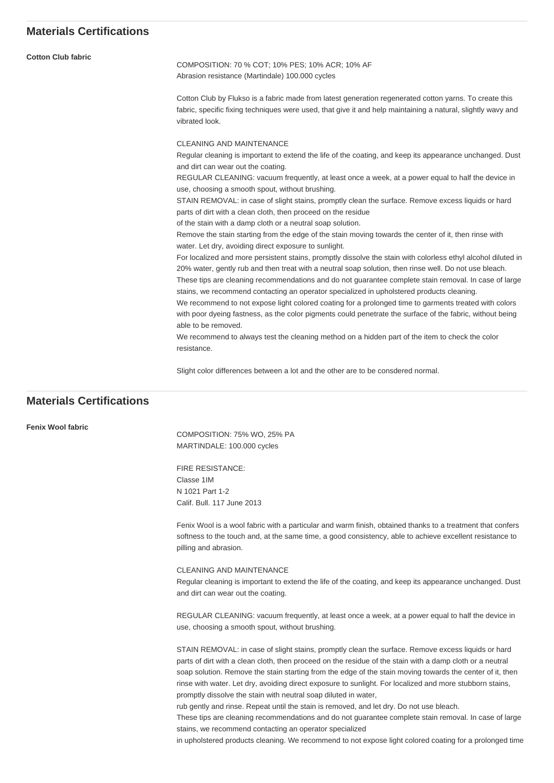| <b>Cotton Club fabric</b> | COMPOSITION: 70 % COT; 10% PES; 10% ACR; 10% AF<br>Abrasion resistance (Martindale) 100.000 cycles                                                                                                                                                                                                                                                                                                                                                                                                                                                                                                                                                                         |  |  |  |  |
|---------------------------|----------------------------------------------------------------------------------------------------------------------------------------------------------------------------------------------------------------------------------------------------------------------------------------------------------------------------------------------------------------------------------------------------------------------------------------------------------------------------------------------------------------------------------------------------------------------------------------------------------------------------------------------------------------------------|--|--|--|--|
|                           | Cotton Club by Flukso is a fabric made from latest generation regenerated cotton yarns. To create this<br>fabric, specific fixing techniques were used, that give it and help maintaining a natural, slightly wavy and<br>vibrated look.                                                                                                                                                                                                                                                                                                                                                                                                                                   |  |  |  |  |
|                           | <b>CLEANING AND MAINTENANCE</b>                                                                                                                                                                                                                                                                                                                                                                                                                                                                                                                                                                                                                                            |  |  |  |  |
|                           | Regular cleaning is important to extend the life of the coating, and keep its appearance unchanged. Dust<br>and dirt can wear out the coating.                                                                                                                                                                                                                                                                                                                                                                                                                                                                                                                             |  |  |  |  |
|                           | REGULAR CLEANING: vacuum frequently, at least once a week, at a power equal to half the device in<br>use, choosing a smooth spout, without brushing.                                                                                                                                                                                                                                                                                                                                                                                                                                                                                                                       |  |  |  |  |
|                           | STAIN REMOVAL: in case of slight stains, promptly clean the surface. Remove excess liquids or hard<br>parts of dirt with a clean cloth, then proceed on the residue                                                                                                                                                                                                                                                                                                                                                                                                                                                                                                        |  |  |  |  |
|                           | of the stain with a damp cloth or a neutral soap solution.                                                                                                                                                                                                                                                                                                                                                                                                                                                                                                                                                                                                                 |  |  |  |  |
|                           | Remove the stain starting from the edge of the stain moving towards the center of it, then rinse with<br>water. Let dry, avoiding direct exposure to sunlight.                                                                                                                                                                                                                                                                                                                                                                                                                                                                                                             |  |  |  |  |
|                           | For localized and more persistent stains, promptly dissolve the stain with colorless ethyl alcohol diluted in<br>20% water, gently rub and then treat with a neutral soap solution, then rinse well. Do not use bleach.<br>These tips are cleaning recommendations and do not guarantee complete stain removal. In case of large<br>stains, we recommend contacting an operator specialized in upholstered products cleaning.<br>We recommend to not expose light colored coating for a prolonged time to garments treated with colors<br>with poor dyeing fastness, as the color pigments could penetrate the surface of the fabric, without being<br>able to be removed. |  |  |  |  |
|                           | We recommend to always test the cleaning method on a hidden part of the item to check the color<br>resistance.                                                                                                                                                                                                                                                                                                                                                                                                                                                                                                                                                             |  |  |  |  |
|                           |                                                                                                                                                                                                                                                                                                                                                                                                                                                                                                                                                                                                                                                                            |  |  |  |  |

Slight color differences between a lot and the other are to be consdered normal.

## **Materials Certifications**

**Fenix Wool fabric**

COMPOSITION: 75% WO, 25% PA MARTINDALE: 100.000 cycles

FIRE RESISTANCE: Classe 1IM N 1021 Part 1-2 Calif. Bull. 117 June 2013

Fenix Wool is a wool fabric with a particular and warm finish, obtained thanks to a treatment that confers softness to the touch and, at the same time, a good consistency, able to achieve excellent resistance to pilling and abrasion.

CLEANING AND MAINTENANCE Regular cleaning is important to extend the life of the coating, and keep its appearance unchanged. Dust and dirt can wear out the coating.

REGULAR CLEANING: vacuum frequently, at least once a week, at a power equal to half the device in use, choosing a smooth spout, without brushing.

STAIN REMOVAL: in case of slight stains, promptly clean the surface. Remove excess liquids or hard parts of dirt with a clean cloth, then proceed on the residue of the stain with a damp cloth or a neutral soap solution. Remove the stain starting from the edge of the stain moving towards the center of it, then rinse with water. Let dry, avoiding direct exposure to sunlight. For localized and more stubborn stains, promptly dissolve the stain with neutral soap diluted in water,

rub gently and rinse. Repeat until the stain is removed, and let dry. Do not use bleach.

These tips are cleaning recommendations and do not guarantee complete stain removal. In case of large stains, we recommend contacting an operator specialized

in upholstered products cleaning. We recommend to not expose light colored coating for a prolonged time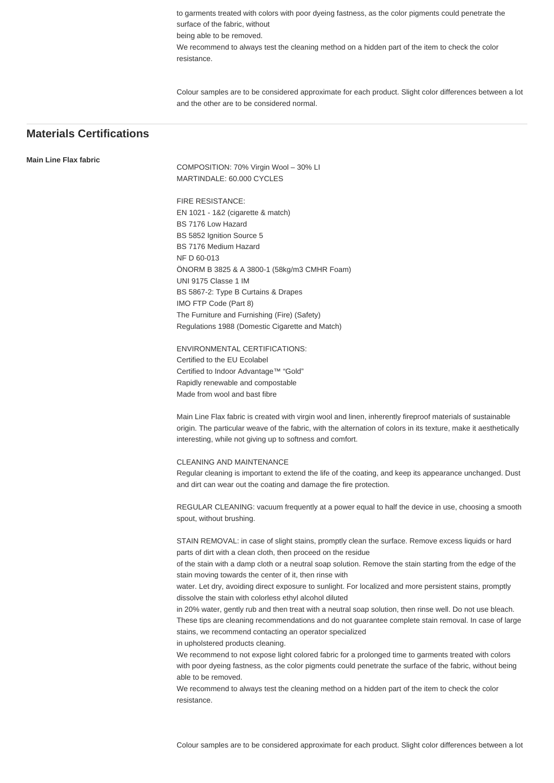to garments treated with colors with poor dyeing fastness, as the color pigments could penetrate the surface of the fabric, without being able to be removed. We recommend to always test the cleaning method on a hidden part of the item to check the color resistance.

Colour samples are to be considered approximate for each product. Slight color differences between a lot and the other are to be considered normal.

## **Materials Certifications**

#### **Main Line Flax fabric**

COMPOSITION: 70% Virgin Wool – 30% LI MARTINDALE: 60.000 CYCLES

FIRE RESISTANCE: EN 1021 - 1&2 (cigarette & match) BS 7176 Low Hazard BS 5852 Ignition Source 5 BS 7176 Medium Hazard NF D 60-013 ÖNORM B 3825 & A 3800-1 (58kg/m3 CMHR Foam) UNI 9175 Classe 1 IM BS 5867-2: Type B Curtains & Drapes IMO FTP Code (Part 8) The Furniture and Furnishing (Fire) (Safety) Regulations 1988 (Domestic Cigarette and Match)

ENVIRONMENTAL CERTIFICATIONS: Certified to the EU Ecolabel Certified to Indoor Advantage™ "Gold" Rapidly renewable and compostable Made from wool and bast fibre

Main Line Flax fabric is created with virgin wool and linen, inherently fireproof materials of sustainable origin. The particular weave of the fabric, with the alternation of colors in its texture, make it aesthetically interesting, while not giving up to softness and comfort.

#### CLEANING AND MAINTENANCE

Regular cleaning is important to extend the life of the coating, and keep its appearance unchanged. Dust and dirt can wear out the coating and damage the fire protection.

REGULAR CLEANING: vacuum frequently at a power equal to half the device in use, choosing a smooth spout, without brushing.

STAIN REMOVAL: in case of slight stains, promptly clean the surface. Remove excess liquids or hard parts of dirt with a clean cloth, then proceed on the residue

of the stain with a damp cloth or a neutral soap solution. Remove the stain starting from the edge of the stain moving towards the center of it, then rinse with

water. Let dry, avoiding direct exposure to sunlight. For localized and more persistent stains, promptly dissolve the stain with colorless ethyl alcohol diluted

in 20% water, gently rub and then treat with a neutral soap solution, then rinse well. Do not use bleach. These tips are cleaning recommendations and do not guarantee complete stain removal. In case of large stains, we recommend contacting an operator specialized in upholstered products cleaning.

We recommend to not expose light colored fabric for a prolonged time to garments treated with colors with poor dyeing fastness, as the color pigments could penetrate the surface of the fabric, without being able to be removed.

We recommend to always test the cleaning method on a hidden part of the item to check the color resistance.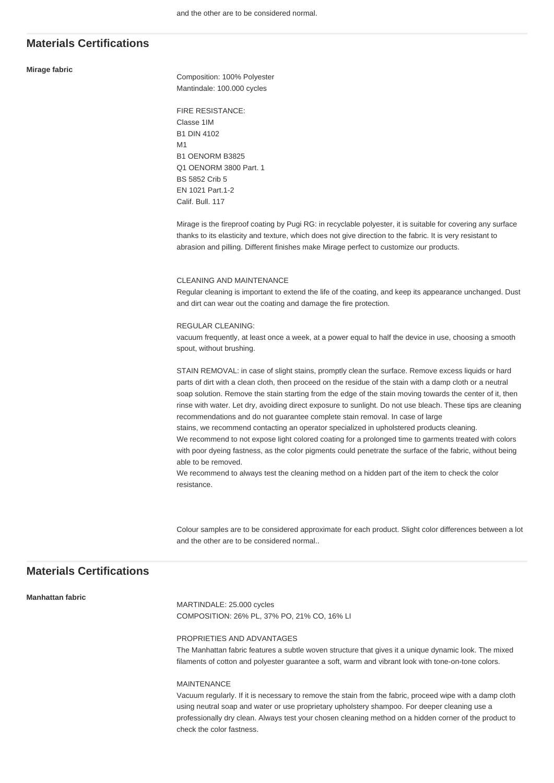#### **Mirage fabric**

Composition: 100% Polyester Mantindale: 100.000 cycles

FIRE RESISTANCE: Classe 1IM B1 DIN 4102 M1 B1 OENORM B3825 Q1 OENORM 3800 Part. 1 BS 5852 Crib 5 EN 1021 Part.1-2 Calif. Bull. 117

Mirage is the fireproof coating by Pugi RG: in recyclable polyester, it is suitable for covering any surface thanks to its elasticity and texture, which does not give direction to the fabric. It is very resistant to abrasion and pilling. Different finishes make Mirage perfect to customize our products.

#### CLEANING AND MAINTENANCE

Regular cleaning is important to extend the life of the coating, and keep its appearance unchanged. Dust and dirt can wear out the coating and damage the fire protection.

#### REGULAR CLEANING:

vacuum frequently, at least once a week, at a power equal to half the device in use, choosing a smooth spout, without brushing.

STAIN REMOVAL: in case of slight stains, promptly clean the surface. Remove excess liquids or hard parts of dirt with a clean cloth, then proceed on the residue of the stain with a damp cloth or a neutral soap solution. Remove the stain starting from the edge of the stain moving towards the center of it, then rinse with water. Let dry, avoiding direct exposure to sunlight. Do not use bleach. These tips are cleaning recommendations and do not guarantee complete stain removal. In case of large stains, we recommend contacting an operator specialized in upholstered products cleaning. We recommend to not expose light colored coating for a prolonged time to garments treated with colors with poor dyeing fastness, as the color pigments could penetrate the surface of the fabric, without being able to be removed.

We recommend to always test the cleaning method on a hidden part of the item to check the color resistance.

Colour samples are to be considered approximate for each product. Slight color differences between a lot and the other are to be considered normal..

## **Materials Certifications**

#### **Manhattan fabric**

MARTINDALE: 25.000 cycles COMPOSITION: 26% PL, 37% PO, 21% CO, 16% LI

#### PROPRIETIES AND ADVANTAGES

The Manhattan fabric features a subtle woven structure that gives it a unique dynamic look. The mixed filaments of cotton and polyester guarantee a soft, warm and vibrant look with tone-on-tone colors.

#### MAINTENANCE

Vacuum regularly. If it is necessary to remove the stain from the fabric, proceed wipe with a damp cloth using neutral soap and water or use proprietary upholstery shampoo. For deeper cleaning use a professionally dry clean. Always test your chosen cleaning method on a hidden corner of the product to check the color fastness.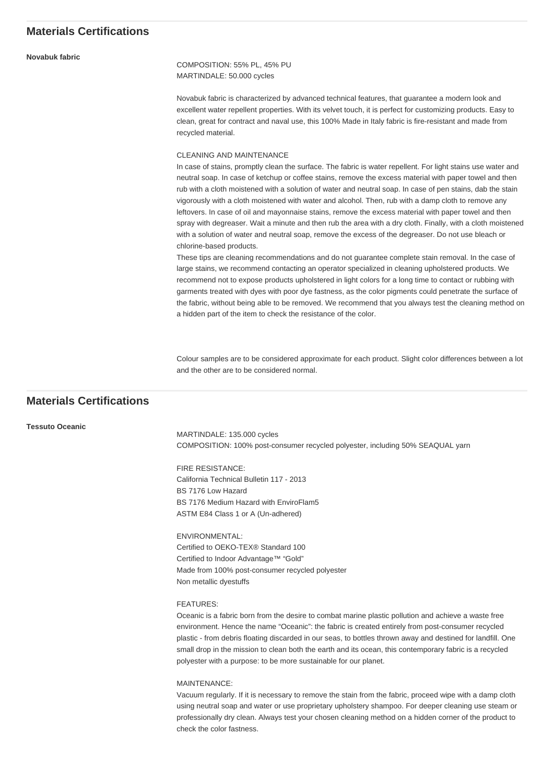**Novabuk fabric**

COMPOSITION: 55% PL, 45% PU MARTINDALE: 50.000 cycles

Novabuk fabric is characterized by advanced technical features, that guarantee a modern look and excellent water repellent properties. With its velvet touch, it is perfect for customizing products. Easy to clean, great for contract and naval use, this 100% Made in Italy fabric is fire-resistant and made from recycled material.

#### CLEANING AND MAINTENANCE

In case of stains, promptly clean the surface. The fabric is water repellent. For light stains use water and neutral soap. In case of ketchup or coffee stains, remove the excess material with paper towel and then rub with a cloth moistened with a solution of water and neutral soap. In case of pen stains, dab the stain vigorously with a cloth moistened with water and alcohol. Then, rub with a damp cloth to remove any leftovers. In case of oil and mayonnaise stains, remove the excess material with paper towel and then spray with degreaser. Wait a minute and then rub the area with a dry cloth. Finally, with a cloth moistened with a solution of water and neutral soap, remove the excess of the degreaser. Do not use bleach or chlorine-based products.

These tips are cleaning recommendations and do not guarantee complete stain removal. In the case of large stains, we recommend contacting an operator specialized in cleaning upholstered products. We recommend not to expose products upholstered in light colors for a long time to contact or rubbing with garments treated with dyes with poor dye fastness, as the color pigments could penetrate the surface of the fabric, without being able to be removed. We recommend that you always test the cleaning method on a hidden part of the item to check the resistance of the color.

Colour samples are to be considered approximate for each product. Slight color differences between a lot and the other are to be considered normal.

## **Materials Certifications**

#### **Tessuto Oceanic**

MARTINDALE: 135.000 cycles COMPOSITION: 100% post-consumer recycled polyester, including 50% SEAQUAL yarn

FIRE RESISTANCE: California Technical Bulletin 117 - 2013 BS 7176 Low Hazard BS 7176 Medium Hazard with EnviroFlam5 ASTM E84 Class 1 or A (Un-adhered)

ENVIRONMENTAL: Certified to OEKO-TEX® Standard 100 Certified to Indoor Advantage™ "Gold" Made from 100% post-consumer recycled polyester Non metallic dyestuffs

#### FEATURES:

Oceanic is a fabric born from the desire to combat marine plastic pollution and achieve a waste free environment. Hence the name "Oceanic": the fabric is created entirely from post-consumer recycled plastic - from debris floating discarded in our seas, to bottles thrown away and destined for landfill. One small drop in the mission to clean both the earth and its ocean, this contemporary fabric is a recycled polyester with a purpose: to be more sustainable for our planet.

MAINTENANCE:

Vacuum regularly. If it is necessary to remove the stain from the fabric, proceed wipe with a damp cloth using neutral soap and water or use proprietary upholstery shampoo. For deeper cleaning use steam or professionally dry clean. Always test your chosen cleaning method on a hidden corner of the product to check the color fastness.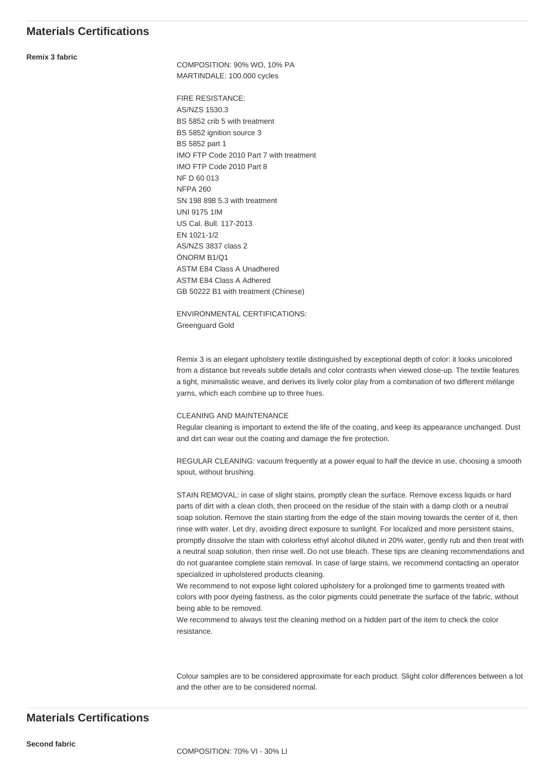**Remix 3 fabric**

COMPOSITION: 90% WO, 10% PA MARTINDALE: 100.000 cycles

FIRE RESISTANCE: AS/NZS 1530.3 BS 5852 crib 5 with treatment BS 5852 ignition source 3 BS 5852 part 1 IMO FTP Code 2010 Part 7 with treatment IMO FTP Code 2010 Part 8 NF D 60 013 NFPA 260 SN 198 898 5.3 with treatment UNI 9175 1IM US Cal. Bull. 117-2013 EN 1021-1/2 AS/NZS 3837 class 2 ÖNORM B1/Q1 ASTM E84 Class A Unadhered ASTM E84 Class A Adhered GB 50222 B1 with treatment (Chinese)

ENVIRONMENTAL CERTIFICATIONS: Greenguard Gold

Remix 3 is an elegant upholstery textile distinguished by exceptional depth of color: it looks unicolored from a distance but reveals subtle details and color contrasts when viewed close-up. The textile features a tight, minimalistic weave, and derives its lively color play from a combination of two different mélange yarns, which each combine up to three hues.

#### CLEANING AND MAINTENANCE

Regular cleaning is important to extend the life of the coating, and keep its appearance unchanged. Dust and dirt can wear out the coating and damage the fire protection.

REGULAR CLEANING: vacuum frequently at a power equal to half the device in use, choosing a smooth spout, without brushing.

STAIN REMOVAL: in case of slight stains, promptly clean the surface. Remove excess liquids or hard parts of dirt with a clean cloth, then proceed on the residue of the stain with a damp cloth or a neutral soap solution. Remove the stain starting from the edge of the stain moving towards the center of it, then rinse with water. Let dry, avoiding direct exposure to sunlight. For localized and more persistent stains, promptly dissolve the stain with colorless ethyl alcohol diluted in 20% water, gently rub and then treat with a neutral soap solution, then rinse well. Do not use bleach. These tips are cleaning recommendations and do not guarantee complete stain removal. In case of large stains, we recommend contacting an operator specialized in upholstered products cleaning.

We recommend to not expose light colored upholstery for a prolonged time to garments treated with colors with poor dyeing fastness, as the color pigments could penetrate the surface of the fabric, without being able to be removed.

We recommend to always test the cleaning method on a hidden part of the item to check the color resistance.

Colour samples are to be considered approximate for each product. Slight color differences between a lot and the other are to be considered normal.

## **Materials Certifications**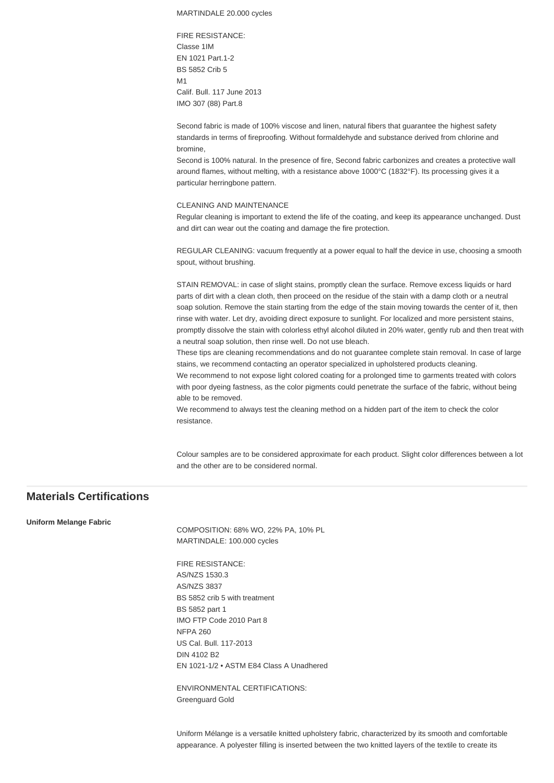MARTINDALE 20.000 cycles

FIRE RESISTANCE: Classe 1IM EN 1021 Part.1-2 BS 5852 Crib 5 M1 Calif. Bull. 117 June 2013 IMO 307 (88) Part.8

Second fabric is made of 100% viscose and linen, natural fibers that guarantee the highest safety standards in terms of fireproofing. Without formaldehyde and substance derived from chlorine and bromine,

Second is 100% natural. In the presence of fire, Second fabric carbonizes and creates a protective wall around flames, without melting, with a resistance above 1000°C (1832°F). Its processing gives it a particular herringbone pattern.

#### CLEANING AND MAINTENANCE

Regular cleaning is important to extend the life of the coating, and keep its appearance unchanged. Dust and dirt can wear out the coating and damage the fire protection.

REGULAR CLEANING: vacuum frequently at a power equal to half the device in use, choosing a smooth spout, without brushing.

STAIN REMOVAL: in case of slight stains, promptly clean the surface. Remove excess liquids or hard parts of dirt with a clean cloth, then proceed on the residue of the stain with a damp cloth or a neutral soap solution. Remove the stain starting from the edge of the stain moving towards the center of it, then rinse with water. Let dry, avoiding direct exposure to sunlight. For localized and more persistent stains, promptly dissolve the stain with colorless ethyl alcohol diluted in 20% water, gently rub and then treat with a neutral soap solution, then rinse well. Do not use bleach.

These tips are cleaning recommendations and do not guarantee complete stain removal. In case of large stains, we recommend contacting an operator specialized in upholstered products cleaning.

We recommend to not expose light colored coating for a prolonged time to garments treated with colors with poor dyeing fastness, as the color pigments could penetrate the surface of the fabric, without being able to be removed.

We recommend to always test the cleaning method on a hidden part of the item to check the color resistance.

Colour samples are to be considered approximate for each product. Slight color differences between a lot and the other are to be considered normal.

## **Materials Certifications**

**Uniform Melange Fabric**

COMPOSITION: 68% WO, 22% PA, 10% PL MARTINDALE: 100.000 cycles

FIRE RESISTANCE: AS/NZS 1530.3 AS/NZS 3837 BS 5852 crib 5 with treatment BS 5852 part 1 IMO FTP Code 2010 Part 8 NFPA 260 US Cal. Bull. 117-2013 DIN 4102 B2 EN 1021-1/2 • ASTM E84 Class A Unadhered

ENVIRONMENTAL CERTIFICATIONS: Greenguard Gold

Uniform Mélange is a versatile knitted upholstery fabric, characterized by its smooth and comfortable appearance. A polyester filling is inserted between the two knitted layers of the textile to create its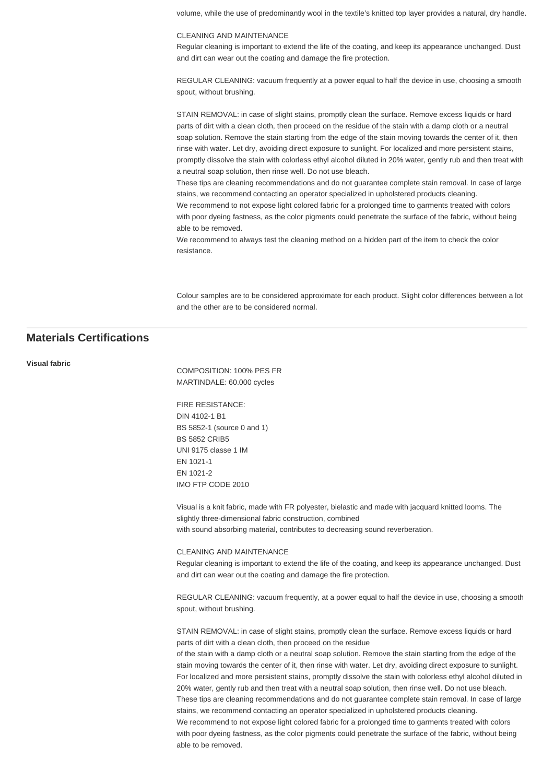volume, while the use of predominantly wool in the textile's knitted top layer provides a natural, dry handle.

#### CLEANING AND MAINTENANCE

Regular cleaning is important to extend the life of the coating, and keep its appearance unchanged. Dust and dirt can wear out the coating and damage the fire protection.

REGULAR CLEANING: vacuum frequently at a power equal to half the device in use, choosing a smooth spout, without brushing.

STAIN REMOVAL: in case of slight stains, promptly clean the surface. Remove excess liquids or hard parts of dirt with a clean cloth, then proceed on the residue of the stain with a damp cloth or a neutral soap solution. Remove the stain starting from the edge of the stain moving towards the center of it, then rinse with water. Let dry, avoiding direct exposure to sunlight. For localized and more persistent stains, promptly dissolve the stain with colorless ethyl alcohol diluted in 20% water, gently rub and then treat with a neutral soap solution, then rinse well. Do not use bleach.

These tips are cleaning recommendations and do not guarantee complete stain removal. In case of large stains, we recommend contacting an operator specialized in upholstered products cleaning.

We recommend to not expose light colored fabric for a prolonged time to garments treated with colors with poor dyeing fastness, as the color pigments could penetrate the surface of the fabric, without being able to be removed.

We recommend to always test the cleaning method on a hidden part of the item to check the color resistance.

Colour samples are to be considered approximate for each product. Slight color differences between a lot and the other are to be considered normal.

## **Materials Certifications**

#### **Visual fabric**

COMPOSITION: 100% PES FR MARTINDALE: 60.000 cycles

FIRE RESISTANCE: DIN 4102-1 B1 BS 5852-1 (source 0 and 1) BS 5852 CRIB5 UNI 9175 classe 1 IM EN 1021-1 EN 1021-2 IMO FTP CODE 2010

Visual is a knit fabric, made with FR polyester, bielastic and made with jacquard knitted looms. The slightly three-dimensional fabric construction, combined with sound absorbing material, contributes to decreasing sound reverberation.

#### CLEANING AND MAINTENANCE

Regular cleaning is important to extend the life of the coating, and keep its appearance unchanged. Dust and dirt can wear out the coating and damage the fire protection.

REGULAR CLEANING: vacuum frequently, at a power equal to half the device in use, choosing a smooth spout, without brushing.

STAIN REMOVAL: in case of slight stains, promptly clean the surface. Remove excess liquids or hard parts of dirt with a clean cloth, then proceed on the residue

of the stain with a damp cloth or a neutral soap solution. Remove the stain starting from the edge of the stain moving towards the center of it, then rinse with water. Let dry, avoiding direct exposure to sunlight. For localized and more persistent stains, promptly dissolve the stain with colorless ethyl alcohol diluted in 20% water, gently rub and then treat with a neutral soap solution, then rinse well. Do not use bleach. These tips are cleaning recommendations and do not guarantee complete stain removal. In case of large stains, we recommend contacting an operator specialized in upholstered products cleaning. We recommend to not expose light colored fabric for a prolonged time to garments treated with colors with poor dyeing fastness, as the color pigments could penetrate the surface of the fabric, without being able to be removed.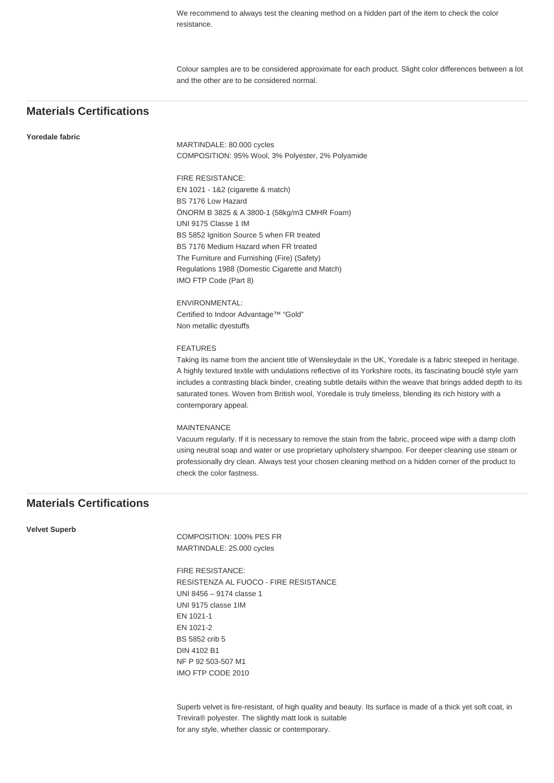We recommend to always test the cleaning method on a hidden part of the item to check the color resistance.

Colour samples are to be considered approximate for each product. Slight color differences between a lot and the other are to be considered normal.

## **Materials Certifications**

#### **Yoredale fabric**

MARTINDALE: 80.000 cycles COMPOSITION: 95% Wool, 3% Polyester, 2% Polyamide

FIRE RESISTANCE: EN 1021 - 1&2 (cigarette & match) BS 7176 Low Hazard ÖNORM B 3825 & A 3800-1 (58kg/m3 CMHR Foam) UNI 9175 Classe 1 IM BS 5852 Ignition Source 5 when FR treated BS 7176 Medium Hazard when FR treated The Furniture and Furnishing (Fire) (Safety) Regulations 1988 (Domestic Cigarette and Match) IMO FTP Code (Part 8)

ENVIRONMENTAL: Certified to Indoor Advantage™ "Gold" Non metallic dyestuffs

#### FEATURES

Taking its name from the ancient title of Wensleydale in the UK, Yoredale is a fabric steeped in heritage. A highly textured textile with undulations reflective of its Yorkshire roots, its fascinating bouclé style yarn includes a contrasting black binder, creating subtle details within the weave that brings added depth to its saturated tones. Woven from British wool, Yoredale is truly timeless, blending its rich history with a contemporary appeal.

#### MAINTENANCE

Vacuum regularly. If it is necessary to remove the stain from the fabric, proceed wipe with a damp cloth using neutral soap and water or use proprietary upholstery shampoo. For deeper cleaning use steam or professionally dry clean. Always test your chosen cleaning method on a hidden corner of the product to check the color fastness.

## **Materials Certifications**

**Velvet Superb**

COMPOSITION: 100% PES FR MARTINDALE: 25.000 cycles

FIRE RESISTANCE: RESISTENZA AL FUOCO - FIRE RESISTANCE UNI 8456 – 9174 classe 1 UNI 9175 classe 1IM EN 1021-1 EN 1021-2 BS 5852 crib 5 DIN 4102 B1 NF P 92 503-507 M1 IMO FTP CODE 2010

Superb velvet is fire-resistant, of high quality and beauty. Its surface is made of a thick yet soft coat, in Trevira® polyester. The slightly matt look is suitable for any style, whether classic or contemporary.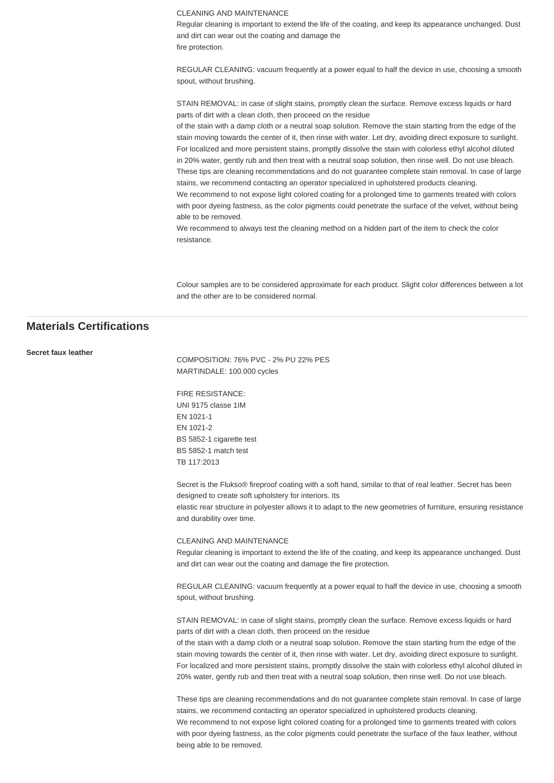CLEANING AND MAINTENANCE

Regular cleaning is important to extend the life of the coating, and keep its appearance unchanged. Dust and dirt can wear out the coating and damage the fire protection.

REGULAR CLEANING: vacuum frequently at a power equal to half the device in use, choosing a smooth spout, without brushing.

STAIN REMOVAL: in case of slight stains, promptly clean the surface. Remove excess liquids or hard parts of dirt with a clean cloth, then proceed on the residue

of the stain with a damp cloth or a neutral soap solution. Remove the stain starting from the edge of the stain moving towards the center of it, then rinse with water. Let dry, avoiding direct exposure to sunlight. For localized and more persistent stains, promptly dissolve the stain with colorless ethyl alcohol diluted in 20% water, gently rub and then treat with a neutral soap solution, then rinse well. Do not use bleach. These tips are cleaning recommendations and do not guarantee complete stain removal. In case of large stains, we recommend contacting an operator specialized in upholstered products cleaning.

We recommend to not expose light colored coating for a prolonged time to garments treated with colors with poor dyeing fastness, as the color pigments could penetrate the surface of the velvet, without being able to be removed.

We recommend to always test the cleaning method on a hidden part of the item to check the color resistance.

Colour samples are to be considered approximate for each product. Slight color differences between a lot and the other are to be considered normal.

## **Materials Certifications**

**Secret faux leather**

COMPOSITION: 76% PVC - 2% PU 22% PES MARTINDALE: 100.000 cycles

FIRE RESISTANCE: UNI 9175 classe 1IM EN 1021-1 EN 1021-2 BS 5852-1 cigarette test BS 5852-1 match test TB 117:2013

Secret is the Flukso® fireproof coating with a soft hand, similar to that of real leather. Secret has been designed to create soft upholstery for interiors. Its elastic rear structure in polyester allows it to adapt to the new geometries of furniture, ensuring resistance and durability over time.

#### CLEANING AND MAINTENANCE

Regular cleaning is important to extend the life of the coating, and keep its appearance unchanged. Dust and dirt can wear out the coating and damage the fire protection.

REGULAR CLEANING: vacuum frequently at a power equal to half the device in use, choosing a smooth spout, without brushing.

STAIN REMOVAL: in case of slight stains, promptly clean the surface. Remove excess liquids or hard parts of dirt with a clean cloth, then proceed on the residue

of the stain with a damp cloth or a neutral soap solution. Remove the stain starting from the edge of the stain moving towards the center of it, then rinse with water. Let dry, avoiding direct exposure to sunlight. For localized and more persistent stains, promptly dissolve the stain with colorless ethyl alcohol diluted in 20% water, gently rub and then treat with a neutral soap solution, then rinse well. Do not use bleach.

These tips are cleaning recommendations and do not guarantee complete stain removal. In case of large stains, we recommend contacting an operator specialized in upholstered products cleaning. We recommend to not expose light colored coating for a prolonged time to garments treated with colors with poor dyeing fastness, as the color pigments could penetrate the surface of the faux leather, without being able to be removed.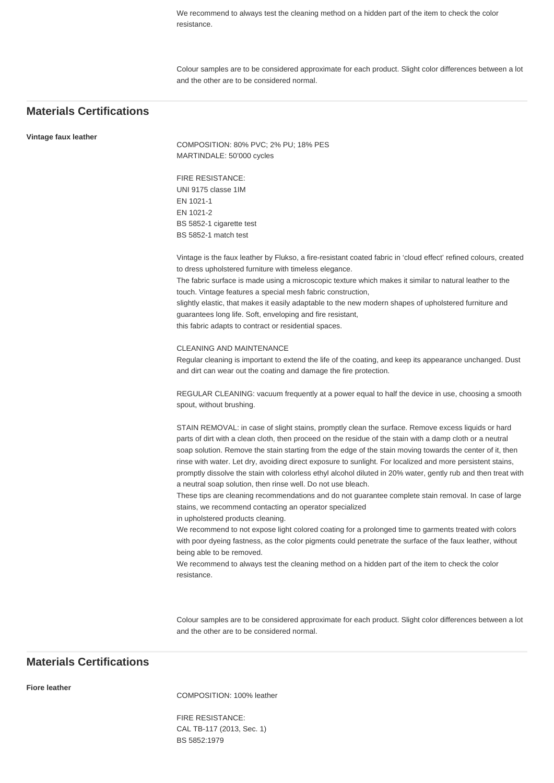We recommend to always test the cleaning method on a hidden part of the item to check the color resistance.

Colour samples are to be considered approximate for each product. Slight color differences between a lot and the other are to be considered normal.

## **Materials Certifications**

**Vintage faux leather**

COMPOSITION: 80% PVC; 2% PU; 18% PES MARTINDALE: 50'000 cycles

FIRE RESISTANCE: UNI 9175 classe 1IM EN 1021-1 EN 1021-2 BS 5852-1 cigarette test BS 5852-1 match test

Vintage is the faux leather by Flukso, a fire-resistant coated fabric in 'cloud effect' refined colours, created to dress upholstered furniture with timeless elegance.

The fabric surface is made using a microscopic texture which makes it similar to natural leather to the touch. Vintage features a special mesh fabric construction,

slightly elastic, that makes it easily adaptable to the new modern shapes of upholstered furniture and guarantees long life. Soft, enveloping and fire resistant,

this fabric adapts to contract or residential spaces.

#### CLEANING AND MAINTENANCE

Regular cleaning is important to extend the life of the coating, and keep its appearance unchanged. Dust and dirt can wear out the coating and damage the fire protection.

REGULAR CLEANING: vacuum frequently at a power equal to half the device in use, choosing a smooth spout, without brushing.

STAIN REMOVAL: in case of slight stains, promptly clean the surface. Remove excess liquids or hard parts of dirt with a clean cloth, then proceed on the residue of the stain with a damp cloth or a neutral soap solution. Remove the stain starting from the edge of the stain moving towards the center of it, then rinse with water. Let dry, avoiding direct exposure to sunlight. For localized and more persistent stains, promptly dissolve the stain with colorless ethyl alcohol diluted in 20% water, gently rub and then treat with a neutral soap solution, then rinse well. Do not use bleach.

These tips are cleaning recommendations and do not guarantee complete stain removal. In case of large stains, we recommend contacting an operator specialized

in upholstered products cleaning.

We recommend to not expose light colored coating for a prolonged time to garments treated with colors with poor dyeing fastness, as the color pigments could penetrate the surface of the faux leather, without being able to be removed.

We recommend to always test the cleaning method on a hidden part of the item to check the color resistance.

Colour samples are to be considered approximate for each product. Slight color differences between a lot and the other are to be considered normal.

## **Materials Certifications**

#### **Fiore leather**

COMPOSITION: 100% leather

FIRE RESISTANCE: CAL TB-117 (2013, Sec. 1) BS 5852:1979